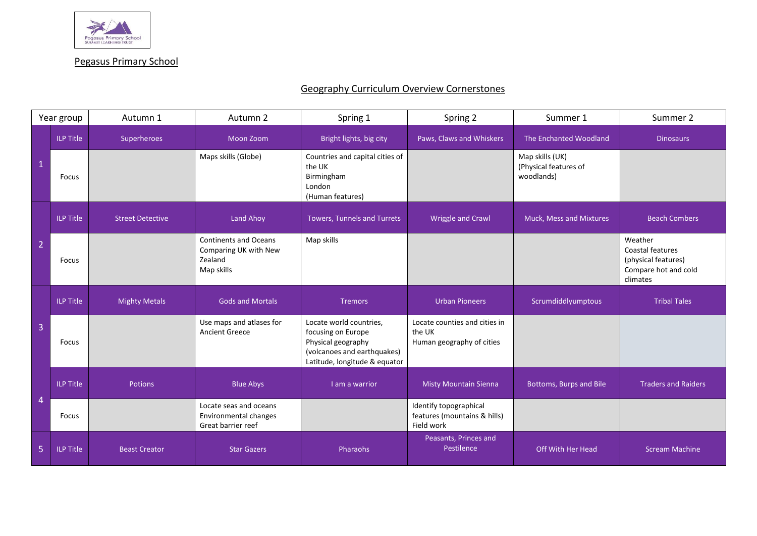

Pegasus Primary School

## Geography Curriculum Overview Cornerstones

| Year group     |                  | Autumn 1                | Autumn 2                                                                       | Spring 1                                                                                                                            | Spring 2                                                             | Summer 1                                               | Summer 2                                                                               |
|----------------|------------------|-------------------------|--------------------------------------------------------------------------------|-------------------------------------------------------------------------------------------------------------------------------------|----------------------------------------------------------------------|--------------------------------------------------------|----------------------------------------------------------------------------------------|
| $\mathbf{1}$   | <b>ILP Title</b> | Superheroes             | Moon Zoom                                                                      | Bright lights, big city                                                                                                             | Paws, Claws and Whiskers                                             | The Enchanted Woodland                                 | <b>Dinosaurs</b>                                                                       |
|                | Focus            |                         | Maps skills (Globe)                                                            | Countries and capital cities of<br>the UK<br>Birmingham<br>London<br>(Human features)                                               |                                                                      | Map skills (UK)<br>(Physical features of<br>woodlands) |                                                                                        |
| $\overline{2}$ | <b>ILP Title</b> | <b>Street Detective</b> | Land Ahoy                                                                      | <b>Towers, Tunnels and Turrets</b>                                                                                                  | <b>Wriggle and Crawl</b>                                             | Muck, Mess and Mixtures                                | <b>Beach Combers</b>                                                                   |
|                | Focus            |                         | <b>Continents and Oceans</b><br>Comparing UK with New<br>Zealand<br>Map skills | Map skills                                                                                                                          |                                                                      |                                                        | Weather<br>Coastal features<br>(physical features)<br>Compare hot and cold<br>climates |
| $\overline{3}$ | <b>ILP Title</b> | <b>Mighty Metals</b>    | <b>Gods and Mortals</b>                                                        | <b>Tremors</b>                                                                                                                      | <b>Urban Pioneers</b>                                                | Scrumdiddlyumptous                                     | <b>Tribal Tales</b>                                                                    |
|                | Focus            |                         | Use maps and atlases for<br><b>Ancient Greece</b>                              | Locate world countries,<br>focusing on Europe<br>Physical geography<br>(volcanoes and earthquakes)<br>Latitude, longitude & equator | Locate counties and cities in<br>the UK<br>Human geography of cities |                                                        |                                                                                        |
| $\overline{4}$ | <b>ILP Title</b> | <b>Potions</b>          | <b>Blue Abys</b>                                                               | I am a warrior                                                                                                                      | <b>Misty Mountain Sienna</b>                                         | Bottoms, Burps and Bile                                | <b>Traders and Raiders</b>                                                             |
|                | Focus            |                         | Locate seas and oceans<br>Environmental changes<br>Great barrier reef          |                                                                                                                                     | Identify topographical<br>features (mountains & hills)<br>Field work |                                                        |                                                                                        |
| 5              | <b>ILP Title</b> | <b>Beast Creator</b>    | <b>Star Gazers</b>                                                             | Pharaohs                                                                                                                            | Peasants, Princes and<br>Pestilence                                  | Off With Her Head                                      | <b>Scream Machine</b>                                                                  |